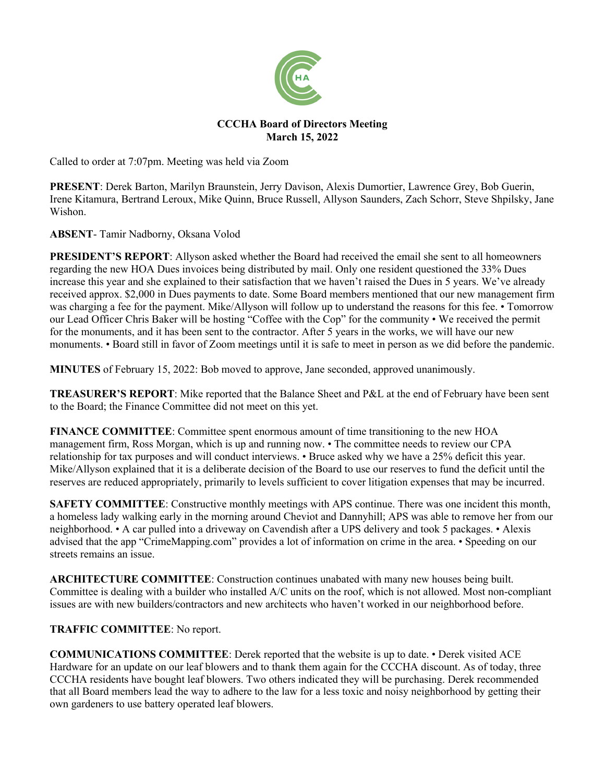

# **CCCHA Board of Directors Meeting March 15, 2022**

Called to order at 7:07pm. Meeting was held via Zoom

**PRESENT**: Derek Barton, Marilyn Braunstein, Jerry Davison, Alexis Dumortier, Lawrence Grey, Bob Guerin, Irene Kitamura, Bertrand Leroux, Mike Quinn, Bruce Russell, Allyson Saunders, Zach Schorr, Steve Shpilsky, Jane Wishon.

**ABSENT**- Tamir Nadborny, Oksana Volod

**PRESIDENT'S REPORT**: Allyson asked whether the Board had received the email she sent to all homeowners regarding the new HOA Dues invoices being distributed by mail. Only one resident questioned the 33% Dues increase this year and she explained to their satisfaction that we haven't raised the Dues in 5 years. We've already received approx. \$2,000 in Dues payments to date. Some Board members mentioned that our new management firm was charging a fee for the payment. Mike/Allyson will follow up to understand the reasons for this fee. • Tomorrow our Lead Officer Chris Baker will be hosting "Coffee with the Cop" for the community • We received the permit for the monuments, and it has been sent to the contractor. After 5 years in the works, we will have our new monuments. • Board still in favor of Zoom meetings until it is safe to meet in person as we did before the pandemic.

**MINUTES** of February 15, 2022: Bob moved to approve, Jane seconded, approved unanimously.

**TREASURER'S REPORT**: Mike reported that the Balance Sheet and P&L at the end of February have been sent to the Board; the Finance Committee did not meet on this yet.

**FINANCE COMMITTEE**: Committee spent enormous amount of time transitioning to the new HOA management firm, Ross Morgan, which is up and running now. • The committee needs to review our CPA relationship for tax purposes and will conduct interviews. • Bruce asked why we have a 25% deficit this year. Mike/Allyson explained that it is a deliberate decision of the Board to use our reserves to fund the deficit until the reserves are reduced appropriately, primarily to levels sufficient to cover litigation expenses that may be incurred.

**SAFETY COMMITTEE:** Constructive monthly meetings with APS continue. There was one incident this month, a homeless lady walking early in the morning around Cheviot and Dannyhill; APS was able to remove her from our neighborhood. • A car pulled into a driveway on Cavendish after a UPS delivery and took 5 packages. • Alexis advised that the app "CrimeMapping.com" provides a lot of information on crime in the area. • Speeding on our streets remains an issue.

**ARCHITECTURE COMMITTEE**: Construction continues unabated with many new houses being built. Committee is dealing with a builder who installed A/C units on the roof, which is not allowed. Most non-compliant issues are with new builders/contractors and new architects who haven't worked in our neighborhood before.

# **TRAFFIC COMMITTEE**: No report.

**COMMUNICATIONS COMMITTEE**: Derek reported that the website is up to date. • Derek visited ACE Hardware for an update on our leaf blowers and to thank them again for the CCCHA discount. As of today, three CCCHA residents have bought leaf blowers. Two others indicated they will be purchasing. Derek recommended that all Board members lead the way to adhere to the law for a less toxic and noisy neighborhood by getting their own gardeners to use battery operated leaf blowers.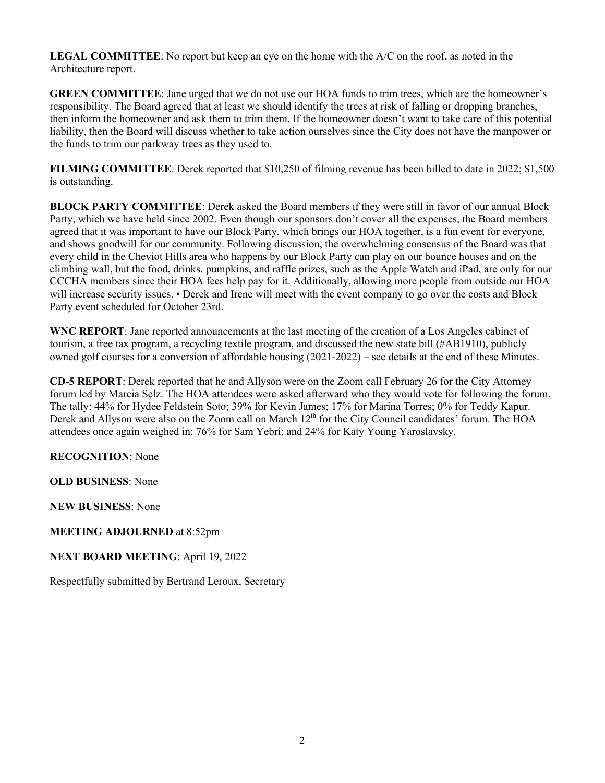**LEGAL COMMITTEE**: No report but keep an eye on the home with the A/C on the roof, as noted in the Architecture report.

**GREEN COMMITTEE**: Jane urged that we do not use our HOA funds to trim trees, which are the homeowner's responsibility. The Board agreed that at least we should identify the trees at risk of falling or dropping branches, then inform the homeowner and ask them to trim them. If the homeowner doesn't want to take care of this potential liability, then the Board will discuss whether to take action ourselves since the City does not have the manpower or the funds to trim our parkway trees as they used to.

**FILMING COMMITTEE**: Derek reported that \$10,250 of filming revenue has been billed to date in 2022; \$1,500 is outstanding.

**BLOCK PARTY COMMITTEE**: Derek asked the Board members if they were still in favor of our annual Block Party, which we have held since 2002. Even though our sponsors don't cover all the expenses, the Board members agreed that it was important to have our Block Party, which brings our HOA together, is a fun event for everyone, and shows goodwill for our community. Following discussion, the overwhelming consensus of the Board was that every child in the Cheviot Hills area who happens by our Block Party can play on our bounce houses and on the climbing wall, but the food, drinks, pumpkins, and raffle prizes, such as the Apple Watch and iPad, are only for our CCCHA members since their HOA fees help pay for it. Additionally, allowing more people from outside our HOA will increase security issues. • Derek and Irene will meet with the event company to go over the costs and Block Party event scheduled for October 23rd.

**WNC REPORT**: Jane reported announcements at the last meeting of the creation of a Los Angeles cabinet of tourism, a free tax program, a recycling textile program, and discussed the new state bill (#AB1910), publicly owned golf courses for a conversion of affordable housing (2021-2022) – see details at the end of these Minutes.

**CD-5 REPORT**: Derek reported that he and Allyson were on the Zoom call February 26 for the City Attorney forum led by Marcia Selz. The HOA attendees were asked afterward who they would vote for following the forum. The tally: 44% for Hydee Feldstein Soto; 39% for Kevin James; 17% for Marina Torres; 0% for Teddy Kapur. Derek and Allyson were also on the Zoom call on March 12<sup>th</sup> for the City Council candidates' forum. The HOA attendees once again weighed in: 76% for Sam Yebri; and 24% for Katy Young Yaroslavsky.

**RECOGNITION**: None

**OLD BUSINESS**: None

**NEW BUSINESS**: None

**MEETING ADJOURNED** at 8:52pm

**NEXT BOARD MEETING**: April 19, 2022

Respectfully submitted by Bertrand Leroux, Secretary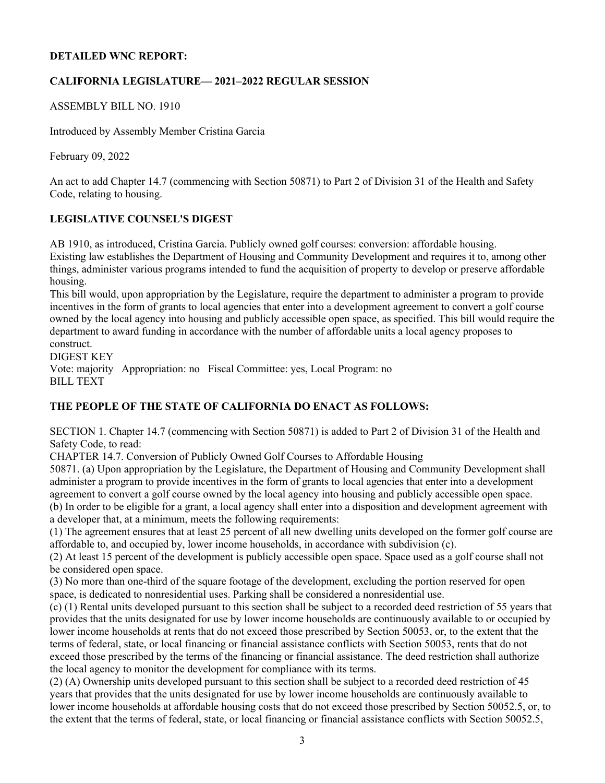# **DETAILED WNC REPORT:**

# **CALIFORNIA LEGISLATURE— 2021–2022 REGULAR SESSION**

# ASSEMBLY BILL NO. 1910

Introduced by Assembly Member Cristina Garcia

February 09, 2022

An act to add Chapter 14.7 (commencing with Section 50871) to Part 2 of Division 31 of the Health and Safety Code, relating to housing.

# **LEGISLATIVE COUNSEL'S DIGEST**

AB 1910, as introduced, Cristina Garcia. Publicly owned golf courses: conversion: affordable housing. Existing law establishes the Department of Housing and Community Development and requires it to, among other things, administer various programs intended to fund the acquisition of property to develop or preserve affordable housing.

This bill would, upon appropriation by the Legislature, require the department to administer a program to provide incentives in the form of grants to local agencies that enter into a development agreement to convert a golf course owned by the local agency into housing and publicly accessible open space, as specified. This bill would require the department to award funding in accordance with the number of affordable units a local agency proposes to construct.

DIGEST KEY

Vote: majority Appropriation: no Fiscal Committee: yes, Local Program: no BILL TEXT

# **THE PEOPLE OF THE STATE OF CALIFORNIA DO ENACT AS FOLLOWS:**

SECTION 1. Chapter 14.7 (commencing with Section 50871) is added to Part 2 of Division 31 of the Health and Safety Code, to read:

CHAPTER 14.7. Conversion of Publicly Owned Golf Courses to Affordable Housing

50871. (a) Upon appropriation by the Legislature, the Department of Housing and Community Development shall administer a program to provide incentives in the form of grants to local agencies that enter into a development agreement to convert a golf course owned by the local agency into housing and publicly accessible open space. (b) In order to be eligible for a grant, a local agency shall enter into a disposition and development agreement with a developer that, at a minimum, meets the following requirements:

(1) The agreement ensures that at least 25 percent of all new dwelling units developed on the former golf course are affordable to, and occupied by, lower income households, in accordance with subdivision (c).

(2) At least 15 percent of the development is publicly accessible open space. Space used as a golf course shall not be considered open space.

(3) No more than one-third of the square footage of the development, excluding the portion reserved for open space, is dedicated to nonresidential uses. Parking shall be considered a nonresidential use.

(c) (1) Rental units developed pursuant to this section shall be subject to a recorded deed restriction of 55 years that provides that the units designated for use by lower income households are continuously available to or occupied by lower income households at rents that do not exceed those prescribed by Section 50053, or, to the extent that the terms of federal, state, or local financing or financial assistance conflicts with Section 50053, rents that do not exceed those prescribed by the terms of the financing or financial assistance. The deed restriction shall authorize the local agency to monitor the development for compliance with its terms.

(2) (A) Ownership units developed pursuant to this section shall be subject to a recorded deed restriction of 45 years that provides that the units designated for use by lower income households are continuously available to lower income households at affordable housing costs that do not exceed those prescribed by Section 50052.5, or, to the extent that the terms of federal, state, or local financing or financial assistance conflicts with Section 50052.5,